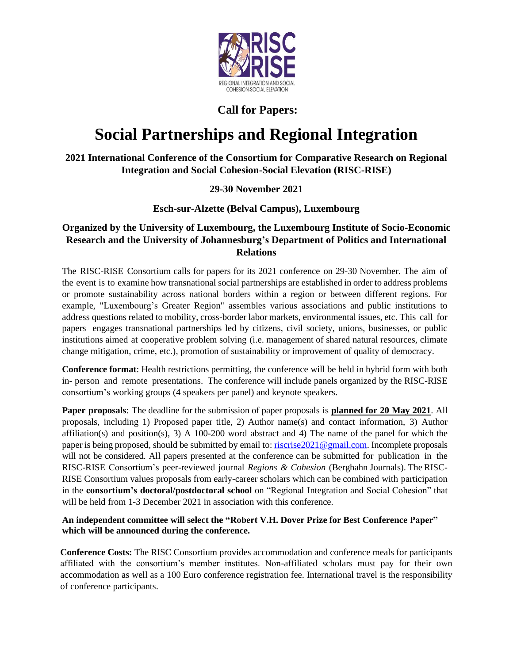

## **Call for Papers:**

# **Social Partnerships and Regional Integration**

**2021 International Conference of the Consortium for Comparative Research on Regional Integration and Social Cohesion-Social Elevation (RISC-RISE)** 

## **29-30 November 2021**

## **Esch-sur-Alzette (Belval Campus), Luxembourg**

## **Organized by the University of Luxembourg, the Luxembourg Institute of Socio-Economic Research and the University of Johannesburg's Department of Politics and International Relations**

The RISC-RISE Consortium calls for papers for its 2021 conference on 29-30 November. The aim of the event is to examine how transnational social partnerships are established in order to address problems or promote sustainability across national borders within a region or between different regions. For example, "Luxembourg's Greater Region" assembles various associations and public institutions to address questions related to mobility, cross-border labor markets, environmental issues, etc. This call for papers engages transnational partnerships led by citizens, civil society, unions, businesses, or public institutions aimed at cooperative problem solving (i.e. management of shared natural resources, climate change mitigation, crime, etc.), promotion of sustainability or improvement of quality of democracy.

**Conference format**: Health restrictions permitting, the conference will be held in hybrid form with both in- person and remote presentations. The conference will include panels organized by the RISC-RISE consortium's working groups (4 speakers per panel) and keynote speakers.

**Paper proposals**: The deadline for the submission of paper proposals is **planned for 20 May 2021**. All proposals, including 1) Proposed paper title, 2) Author name(s) and contact information, 3) Author affiliation(s) and position(s), 3) A 100-200 word abstract and 4) The name of the panel for which the paper is being proposed, should be submitted by email to[: riscrise2021@gmail.com.](about:blank) Incomplete proposals will not be considered. All papers presented at the conference can be submitted for publication in the RISC-RISE Consortium's peer-reviewed journal *Regions & Cohesion* (Berghahn Journals). The RISC-RISE Consortium values proposals from early-career scholars which can be combined with participation in the **consortium's doctoral/postdoctoral school** on "Regional Integration and Social Cohesion" that will be held from 1-3 December 2021 in association with this conference.

#### **An independent committee will select the "Robert V.H. Dover Prize for Best Conference Paper" which will be announced during the conference.**

**Conference Costs:** The RISC Consortium provides accommodation and conference meals for participants affiliated with the consortium's member institutes. Non-affiliated scholars must pay for their own accommodation as well as a 100 Euro conference registration fee. International travel is the responsibility of conference participants.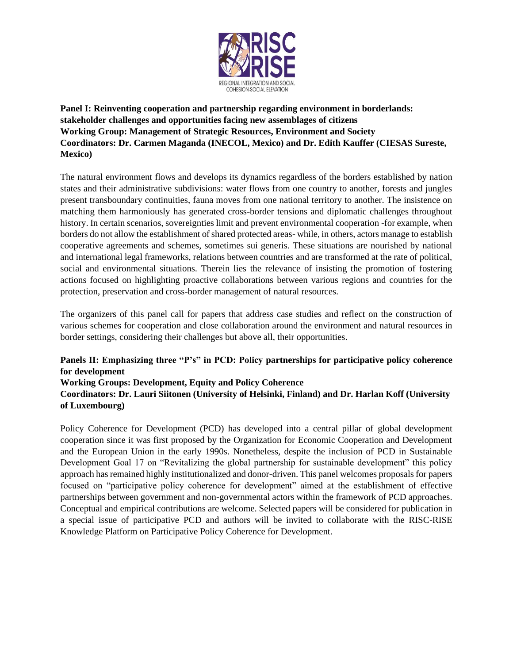

**Panel I: Reinventing cooperation and partnership regarding environment in borderlands: stakeholder challenges and opportunities facing new assemblages of citizens Working Group: Management of Strategic Resources, Environment and Society Coordinators: Dr. Carmen Maganda (INECOL, Mexico) and Dr. Edith Kauffer (CIESAS Sureste, Mexico)**

The natural environment flows and develops its dynamics regardless of the borders established by nation states and their administrative subdivisions: water flows from one country to another, forests and jungles present transboundary continuities, fauna moves from one national territory to another. The insistence on matching them harmoniously has generated cross-border tensions and diplomatic challenges throughout history. In certain scenarios, sovereignties limit and prevent environmental cooperation -for example, when borders do not allow the establishment of shared protected areas- while, in others, actors manage to establish cooperative agreements and schemes, sometimes sui generis. These situations are nourished by national and international legal frameworks, relations between countries and are transformed at the rate of political, social and environmental situations. Therein lies the relevance of insisting the promotion of fostering actions focused on highlighting proactive collaborations between various regions and countries for the protection, preservation and cross-border management of natural resources.

The organizers of this panel call for papers that address case studies and reflect on the construction of various schemes for cooperation and close collaboration around the environment and natural resources in border settings, considering their challenges but above all, their opportunities.

## **Panels II: Emphasizing three "P's" in PCD: Policy partnerships for participative policy coherence for development**

#### **Working Groups: Development, Equity and Policy Coherence**

**Coordinators: Dr. Lauri Siitonen (University of Helsinki, Finland) and Dr. Harlan Koff (University of Luxembourg)**

Policy Coherence for Development (PCD) has developed into a central pillar of global development cooperation since it was first proposed by the Organization for Economic Cooperation and Development and the European Union in the early 1990s. Nonetheless, despite the inclusion of PCD in Sustainable Development Goal 17 on "Revitalizing the global partnership for sustainable development" this policy approach has remained highly institutionalized and donor-driven. This panel welcomes proposals for papers focused on "participative policy coherence for development" aimed at the establishment of effective partnerships between government and non-governmental actors within the framework of PCD approaches. Conceptual and empirical contributions are welcome. Selected papers will be considered for publication in a special issue of participative PCD and authors will be invited to collaborate with the RISC-RISE Knowledge Platform on Participative Policy Coherence for Development.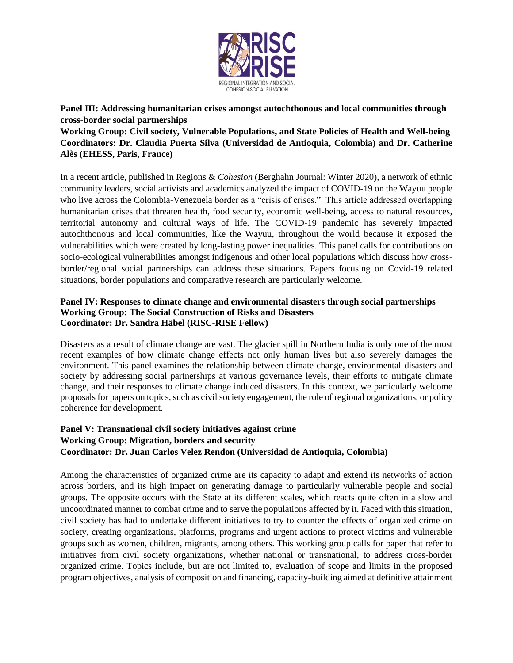

**Panel III: Addressing humanitarian crises amongst autochthonous and local communities through cross-border social partnerships**

**Working Group: Civil society, Vulnerable Populations, and State Policies of Health and Well-being Coordinators: Dr. Claudia Puerta Silva (Universidad de Antioquia, Colombia) and Dr. Catherine Alès (EHESS, Paris, France)**

In a recent article, published in Regions & *Cohesion* (Berghahn Journal: Winter 2020), a network of ethnic community leaders, social activists and academics analyzed the impact of COVID-19 on the Wayuu people who live across the Colombia-Venezuela border as a "crisis of crises." This article addressed overlapping humanitarian crises that threaten health, food security, economic well-being, access to natural resources, territorial autonomy and cultural ways of life. The COVID-19 pandemic has severely impacted autochthonous and local communities, like the Wayuu, throughout the world because it exposed the vulnerabilities which were created by long-lasting power inequalities. This panel calls for contributions on socio-ecological vulnerabilities amongst indigenous and other local populations which discuss how crossborder/regional social partnerships can address these situations. Papers focusing on Covid-19 related situations, border populations and comparative research are particularly welcome.

#### **Panel IV: Responses to climate change and environmental disasters through social partnerships Working Group: The Social Construction of Risks and Disasters Coordinator: Dr. Sandra Häbel (RISC-RISE Fellow)**

Disasters as a result of climate change are vast. The glacier spill in Northern India is only one of the most recent examples of how climate change effects not only human lives but also severely damages the environment. This panel examines the relationship between climate change, environmental disasters and society by addressing social partnerships at various governance levels, their efforts to mitigate climate change, and their responses to climate change induced disasters. In this context, we particularly welcome proposals for papers on topics, such as civil society engagement, the role of regional organizations, or policy coherence for development.

## **Panel V: Transnational civil society initiatives against crime Working Group: Migration, borders and security Coordinator: Dr. Juan Carlos Velez Rendon (Universidad de Antioquia, Colombia)**

Among the characteristics of organized crime are its capacity to adapt and extend its networks of action across borders, and its high impact on generating damage to particularly vulnerable people and social groups. The opposite occurs with the State at its different scales, which reacts quite often in a slow and uncoordinated manner to combat crime and to serve the populations affected by it. Faced with this situation, civil society has had to undertake different initiatives to try to counter the effects of organized crime on society, creating organizations, platforms, programs and urgent actions to protect victims and vulnerable groups such as women, children, migrants, among others. This working group calls for paper that refer to initiatives from civil society organizations, whether national or transnational, to address cross-border organized crime. Topics include, but are not limited to, evaluation of scope and limits in the proposed program objectives, analysis of composition and financing, capacity-building aimed at definitive attainment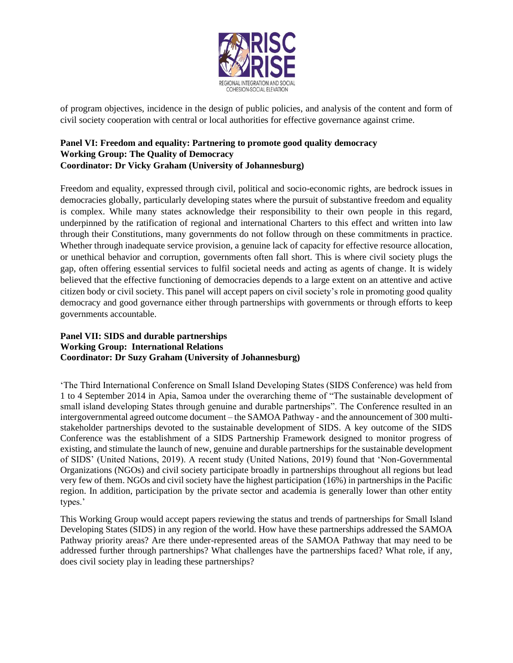

of program objectives, incidence in the design of public policies, and analysis of the content and form of civil society cooperation with central or local authorities for effective governance against crime.

#### **Panel VI: Freedom and equality: Partnering to promote good quality democracy Working Group: The Quality of Democracy Coordinator: Dr Vicky Graham (University of Johannesburg)**

Freedom and equality, expressed through civil, political and socio-economic rights, are bedrock issues in democracies globally, particularly developing states where the pursuit of substantive freedom and equality is complex. While many states acknowledge their responsibility to their own people in this regard, underpinned by the ratification of regional and international Charters to this effect and written into law through their Constitutions, many governments do not follow through on these commitments in practice. Whether through inadequate service provision, a genuine lack of capacity for effective resource allocation, or unethical behavior and corruption, governments often fall short. This is where civil society plugs the gap, often offering essential services to fulfil societal needs and acting as agents of change. It is widely believed that the effective functioning of democracies depends to a large extent on an attentive and active citizen body or civil society. This panel will accept papers on civil society's role in promoting good quality democracy and good governance either through partnerships with governments or through efforts to keep governments accountable.

#### **Panel VII: SIDS and durable partnerships Working Group: International Relations Coordinator: Dr Suzy Graham (University of Johannesburg)**

'The Third International Conference on Small Island Developing States (SIDS Conference) was held from 1 to 4 September 2014 in Apia, Samoa under the overarching theme of "The sustainable development of small island developing States through genuine and durable partnerships". The Conference resulted in an intergovernmental agreed outcome document – the SAMOA Pathway - and the announcement of 300 multistakeholder partnerships devoted to the sustainable development of SIDS. A key outcome of the SIDS Conference was the establishment of a SIDS Partnership Framework designed to monitor progress of existing, and stimulate the launch of new, genuine and durable partnerships for the sustainable development of SIDS' (United Nations, 2019). A recent study (United Nations, 2019) found that 'Non-Governmental Organizations (NGOs) and civil society participate broadly in partnerships throughout all regions but lead very few of them. NGOs and civil society have the highest participation (16%) in partnerships in the Pacific region. In addition, participation by the private sector and academia is generally lower than other entity types.'

This Working Group would accept papers reviewing the status and trends of partnerships for Small Island Developing States (SIDS) in any region of the world. How have these partnerships addressed the SAMOA Pathway priority areas? Are there under-represented areas of the SAMOA Pathway that may need to be addressed further through partnerships? What challenges have the partnerships faced? What role, if any, does civil society play in leading these partnerships?